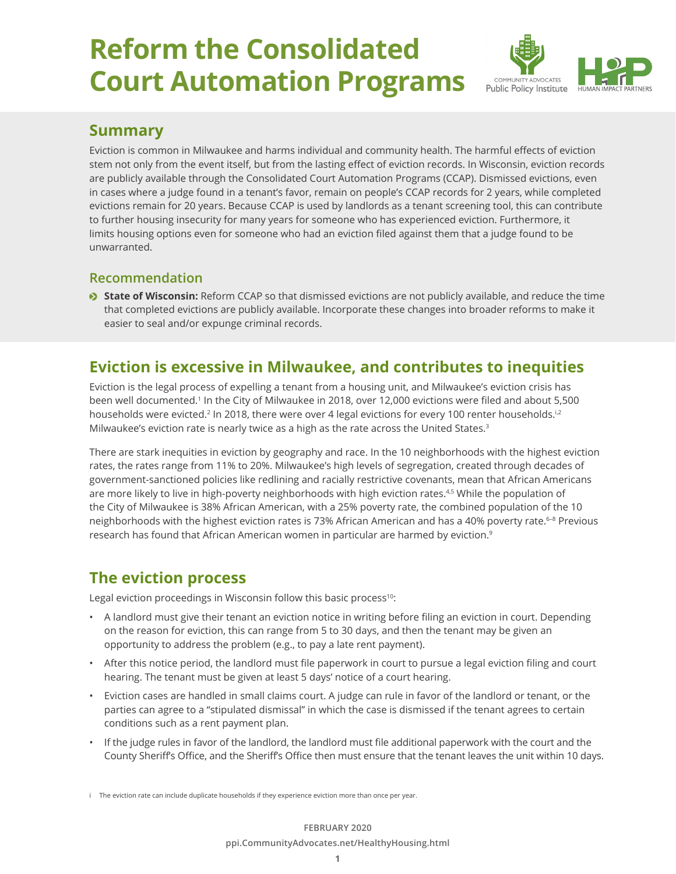# **Reform the Consolidated Court Automation Programs**



## **Summary**

Eviction is common in Milwaukee and harms individual and community health. The harmful effects of eviction stem not only from the event itself, but from the lasting effect of eviction records. In Wisconsin, eviction records are publicly available through the Consolidated Court Automation Programs (CCAP). Dismissed evictions, even in cases where a judge found in a tenant's favor, remain on people's CCAP records for 2 years, while completed evictions remain for 20 years. Because CCAP is used by landlords as a tenant screening tool, this can contribute to further housing insecurity for many years for someone who has experienced eviction. Furthermore, it limits housing options even for someone who had an eviction filed against them that a judge found to be unwarranted.

## **Recommendation**

**State of Wisconsin:** Reform CCAP so that dismissed evictions are not publicly available, and reduce the time that completed evictions are publicly available. Incorporate these changes into broader reforms to make it easier to seal and/or expunge criminal records.

# **Eviction is excessive in Milwaukee, and contributes to inequities**

Eviction is the legal process of expelling a tenant from a housing unit, and Milwaukee's eviction crisis has been well documented.<sup>1</sup> In the City of Milwaukee in 2018, over 12,000 evictions were filed and about 5,500 households were evicted.<sup>2</sup> In 2018, there were over 4 legal evictions for every 100 renter households.<sup>i,2</sup> Milwaukee's eviction rate is nearly twice as a high as the rate across the United States.<sup>3</sup>

There are stark inequities in eviction by geography and race. In the 10 neighborhoods with the highest eviction rates, the rates range from 11% to 20%. Milwaukee's high levels of segregation, created through decades of government-sanctioned policies like redlining and racially restrictive covenants, mean that African Americans are more likely to live in high-poverty neighborhoods with high eviction rates.<sup>4,5</sup> While the population of the City of Milwaukee is 38% African American, with a 25% poverty rate, the combined population of the 10 neighborhoods with the highest eviction rates is 73% African American and has a 40% poverty rate.<sup>6-8</sup> Previous research has found that African American women in particular are harmed by eviction.<sup>9</sup>

# **The eviction process**

Legal eviction proceedings in Wisconsin follow this basic process<sup>10</sup>:

- A landlord must give their tenant an eviction notice in writing before filing an eviction in court. Depending on the reason for eviction, this can range from 5 to 30 days, and then the tenant may be given an opportunity to address the problem (e.g., to pay a late rent payment).
- After this notice period, the landlord must file paperwork in court to pursue a legal eviction filing and court hearing. The tenant must be given at least 5 days' notice of a court hearing.
- Eviction cases are handled in small claims court. A judge can rule in favor of the landlord or tenant, or the parties can agree to a "stipulated dismissal" in which the case is dismissed if the tenant agrees to certain conditions such as a rent payment plan.
- If the judge rules in favor of the landlord, the landlord must file additional paperwork with the court and the County Sheriff's Office, and the Sheriff's Office then must ensure that the tenant leaves the unit within 10 days.

i The eviction rate can include duplicate households if they experience eviction more than once per year.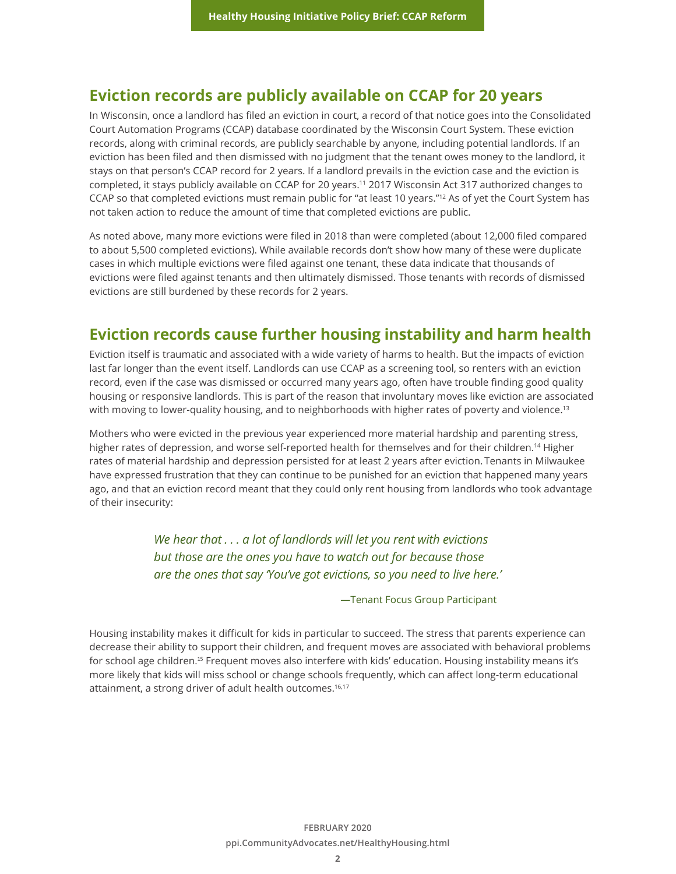## **Eviction records are publicly available on CCAP for 20 years**

In Wisconsin, once a landlord has filed an eviction in court, a record of that notice goes into the Consolidated Court Automation Programs (CCAP) database coordinated by the Wisconsin Court System. These eviction records, along with criminal records, are publicly searchable by anyone, including potential landlords. If an eviction has been filed and then dismissed with no judgment that the tenant owes money to the landlord, it stays on that person's CCAP record for 2 years. If a landlord prevails in the eviction case and the eviction is completed, it stays publicly available on CCAP for 20 years.11 2017 Wisconsin Act 317 authorized changes to CCAP so that completed evictions must remain public for "at least 10 years."12 As of yet the Court System has not taken action to reduce the amount of time that completed evictions are public.

As noted above, many more evictions were filed in 2018 than were completed (about 12,000 filed compared to about 5,500 completed evictions). While available records don't show how many of these were duplicate cases in which multiple evictions were filed against one tenant, these data indicate that thousands of evictions were filed against tenants and then ultimately dismissed. Those tenants with records of dismissed evictions are still burdened by these records for 2 years.

## **Eviction records cause further housing instability and harm health**

Eviction itself is traumatic and associated with a wide variety of harms to health. But the impacts of eviction last far longer than the event itself. Landlords can use CCAP as a screening tool, so renters with an eviction record, even if the case was dismissed or occurred many years ago, often have trouble finding good quality housing or responsive landlords. This is part of the reason that involuntary moves like eviction are associated with moving to lower-quality housing, and to neighborhoods with higher rates of poverty and violence.<sup>13</sup>

Mothers who were evicted in the previous year experienced more material hardship and parenting stress, higher rates of depression, and worse self-reported health for themselves and for their children.<sup>14</sup> Higher rates of material hardship and depression persisted for at least 2 years after eviction. Tenants in Milwaukee have expressed frustration that they can continue to be punished for an eviction that happened many years ago, and that an eviction record meant that they could only rent housing from landlords who took advantage of their insecurity:

> *We hear that . . . a lot of landlords will let you rent with evictions but those are the ones you have to watch out for because those are the ones that say 'You've got evictions, so you need to live here.'*

> > —Tenant Focus Group Participant

Housing instability makes it difficult for kids in particular to succeed. The stress that parents experience can decrease their ability to support their children, and frequent moves are associated with behavioral problems for school age children.<sup>15</sup> Frequent moves also interfere with kids' education. Housing instability means it's more likely that kids will miss school or change schools frequently, which can affect long-term educational attainment, a strong driver of adult health outcomes.<sup>16,17</sup>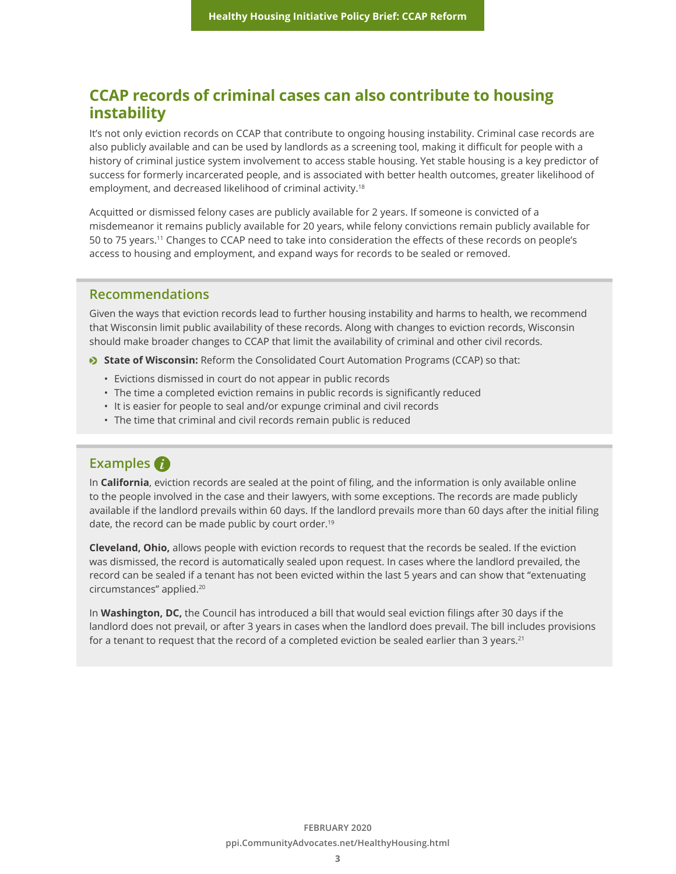## **CCAP records of criminal cases can also contribute to housing instability**

It's not only eviction records on CCAP that contribute to ongoing housing instability. Criminal case records are also publicly available and can be used by landlords as a screening tool, making it difficult for people with a history of criminal justice system involvement to access stable housing. Yet stable housing is a key predictor of success for formerly incarcerated people, and is associated with better health outcomes, greater likelihood of employment, and decreased likelihood of criminal activity.<sup>18</sup>

Acquitted or dismissed felony cases are publicly available for 2 years. If someone is convicted of a misdemeanor it remains publicly available for 20 years, while felony convictions remain publicly available for 50 to 75 years.<sup>11</sup> Changes to CCAP need to take into consideration the effects of these records on people's access to housing and employment, and expand ways for records to be sealed or removed.

### **Recommendations**

Given the ways that eviction records lead to further housing instability and harms to health, we recommend that Wisconsin limit public availability of these records. Along with changes to eviction records, Wisconsin should make broader changes to CCAP that limit the availability of criminal and other civil records.

**State of Wisconsin:** Reform the Consolidated Court Automation Programs (CCAP) so that:

- Evictions dismissed in court do not appear in public records
- The time a completed eviction remains in public records is significantly reduced
- It is easier for people to seal and/or expunge criminal and civil records
- The time that criminal and civil records remain public is reduced

## **Examples**

In **California**, eviction records are sealed at the point of filing, and the information is only available online to the people involved in the case and their lawyers, with some exceptions. The records are made publicly available if the landlord prevails within 60 days. If the landlord prevails more than 60 days after the initial filing date, the record can be made public by court order.<sup>19</sup>

**Cleveland, Ohio,** allows people with eviction records to request that the records be sealed. If the eviction was dismissed, the record is automatically sealed upon request. In cases where the landlord prevailed, the record can be sealed if a tenant has not been evicted within the last 5 years and can show that "extenuating circumstances" applied.20

In **Washington, DC,** the Council has introduced a bill that would seal eviction filings after 30 days if the landlord does not prevail, or after 3 years in cases when the landlord does prevail. The bill includes provisions for a tenant to request that the record of a completed eviction be sealed earlier than 3 years.<sup>21</sup>